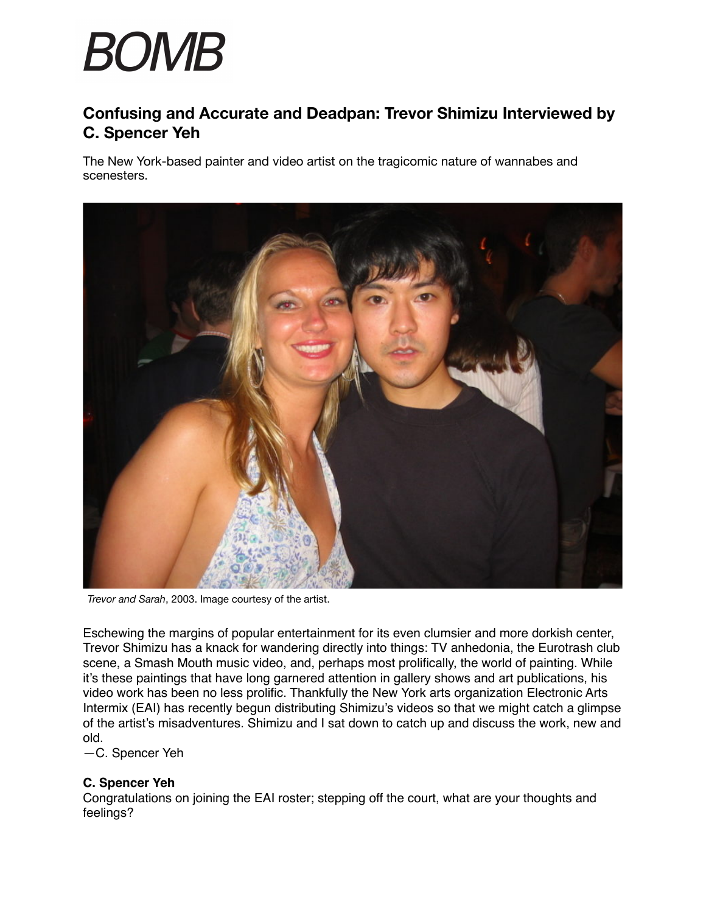# **BOMB**

# **Confusing and Accurate and Deadpan: Trevor Shimizu Interviewed by C. Spencer Yeh**

The New York-based painter and video artist on the tragicomic nature of wannabes and scenesters.



*Trevor and Sarah*, 2003. Image courtesy of the artist.

Eschewing the margins of popular entertainment for its even clumsier and more dorkish center, Trevor Shimizu has a knack for wandering directly into things: TV anhedonia, the Eurotrash club scene, a Smash Mouth music video, and, perhaps most prolifically, the world of painting. While it's these paintings that have long garnered attention in gallery shows and art publications, his video work has been no less prolific. Thankfully the New York arts organization Electronic Arts Intermix (EAI) has recently begun distributing Shimizu's videos so that we might catch a glimpse of the artist's misadventures. Shimizu and I sat down to catch up and discuss the work, new and old.

—C. Spencer Yeh

#### **C. Spencer Yeh**

Congratulations on joining the EAI roster; stepping off the court, what are your thoughts and feelings?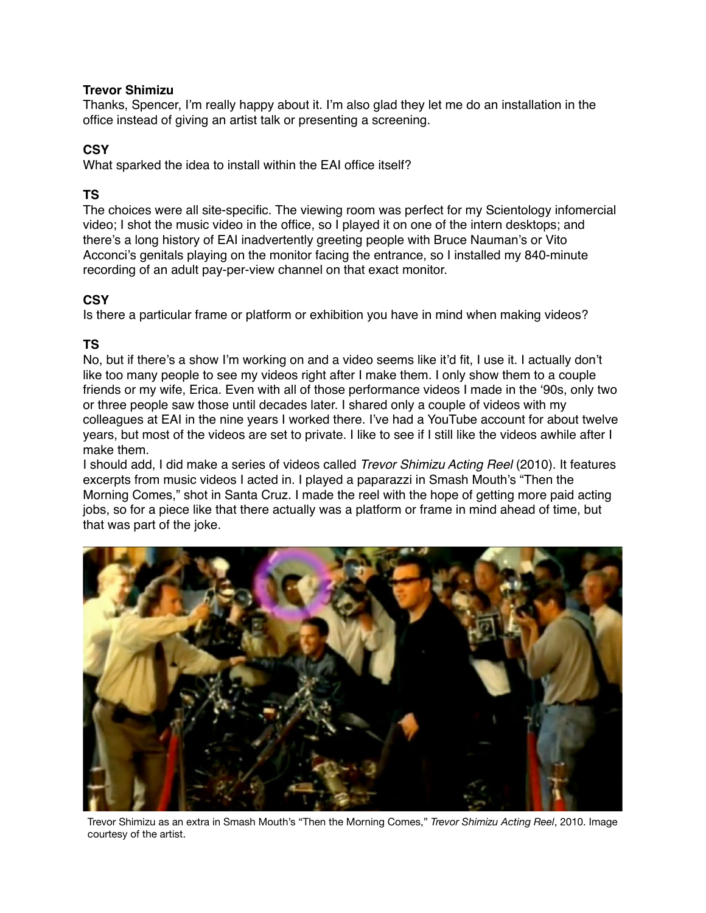#### **Trevor Shimizu**

Thanks, Spencer, I'm really happy about it. I'm also glad they let me do an installation in the office instead of giving an artist talk or presenting a screening.

#### **CSY**

What sparked the idea to install within the EAI office itself?

#### **TS**

The choices were all site-specific. The viewing room was perfect for my Scientology infomercial video; I shot the music video in the office, so I played it on one of the intern desktops; and there's a long history of EAI inadvertently greeting people with Bruce Nauman's or Vito Acconci's genitals playing on the monitor facing the entrance, so I installed my 840-minute recording of an adult pay-per-view channel on that exact monitor.

# **CSY**

Is there a particular frame or platform or exhibition you have in mind when making videos?

# **TS**

No, but if there's a show I'm working on and a video seems like it'd fit, I use it. I actually don't like too many people to see my videos right after I make them. I only show them to a couple friends or my wife, Erica. Even with all of those performance videos I made in the '90s, only two or three people saw those until decades later. I shared only a couple of videos with my colleagues at EAI in the nine years I worked there. I've had a YouTube account for about twelve years, but most of the videos are set to private. I like to see if I still like the videos awhile after I make them.

I should add, I did make a series of videos called *Trevor Shimizu Acting Reel* (2010). It features excerpts from music videos I acted in. I played a paparazzi in Smash Mouth's "Then the Morning Comes," shot in Santa Cruz. I made the reel with the hope of getting more paid acting jobs, so for a piece like that there actually was a platform or frame in mind ahead of time, but that was part of the joke.



Trevor Shimizu as an extra in Smash Mouth's "Then the Morning Comes," *Trevor Shimizu Acting Reel*, 2010. Image courtesy of the artist.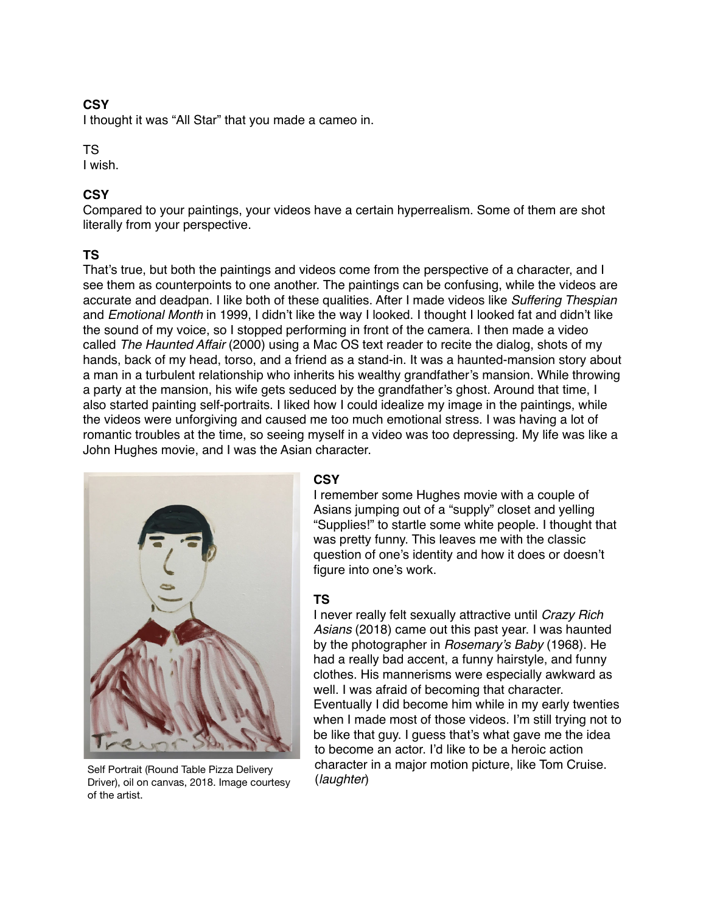I thought it was "All Star" that you made a cameo in.

#### TS

I wish.

#### **CSY**

Compared to your paintings, your videos have a certain hyperrealism. Some of them are shot literally from your perspective.

# **TS**

That's true, but both the paintings and videos come from the perspective of a character, and I see them as counterpoints to one another. The paintings can be confusing, while the videos are accurate and deadpan. I like both of these qualities. After I made videos like *Suffering Thespian*  and *Emotional Month* in 1999, I didn't like the way I looked. I thought I looked fat and didn't like the sound of my voice, so I stopped performing in front of the camera. I then made a video called *The Haunted Affair* (2000) using a Mac OS text reader to recite the dialog, shots of my hands, back of my head, torso, and a friend as a stand-in. It was a haunted-mansion story about a man in a turbulent relationship who inherits his wealthy grandfather's mansion. While throwing a party at the mansion, his wife gets seduced by the grandfather's ghost. Around that time, I also started painting self-portraits. I liked how I could idealize my image in the paintings, while the videos were unforgiving and caused me too much emotional stress. I was having a lot of romantic troubles at the time, so seeing myself in a video was too depressing. My life was like a John Hughes movie, and I was the Asian character.



Self Portrait (Round Table Pizza Delivery Collictum Collictum<br>Driver), oil on canvas, 2018. Image courtesy (*laughter*) of the artist.

#### **CSY**

I remember some Hughes movie with a couple of Asians jumping out of a "supply" closet and yelling "Supplies!" to startle some white people. I thought that was pretty funny. This leaves me with the classic question of one's identity and how it does or doesn't figure into one's work.

#### **TS**

I never really felt sexually attractive until *Crazy Rich Asians* (2018) came out this past year. I was haunted by the photographer in *Rosemary's Baby* (1968). He had a really bad accent, a funny hairstyle, and funny clothes. His mannerisms were especially awkward as well. I was afraid of becoming that character. Eventually I did become him while in my early twenties when I made most of those videos. I'm still trying not to be like that guy. I guess that's what gave me the idea to become an actor. I'd like to be a heroic action character in a major motion picture, like Tom Cruise.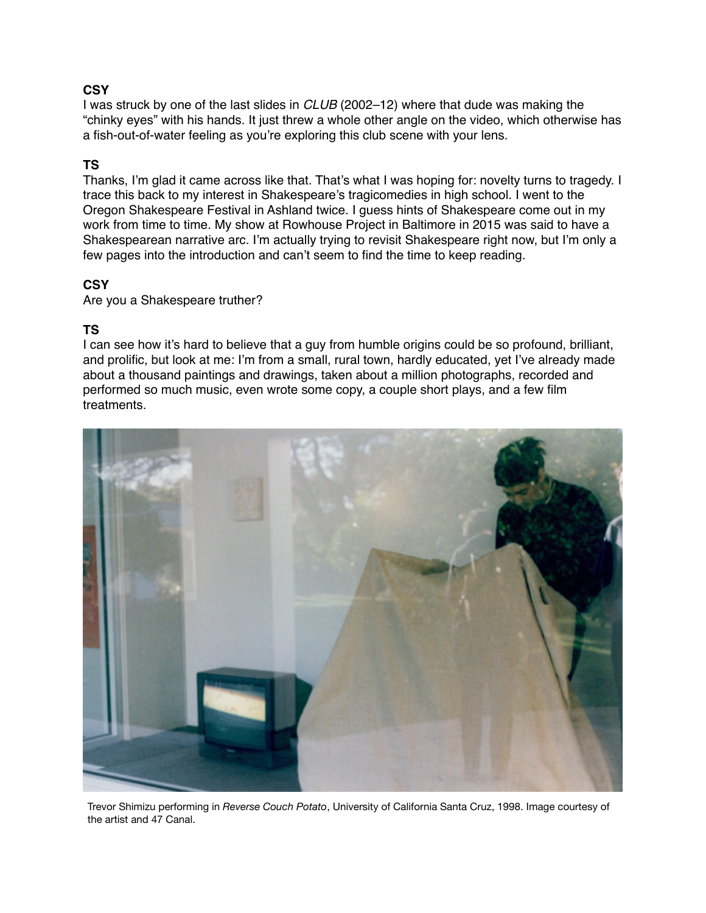I was struck by one of the last slides in *CLUB* (2002–12) where that dude was making the "chinky eyes" with his hands. It just threw a whole other angle on the video, which otherwise has a fish-out-of-water feeling as you're exploring this club scene with your lens.

#### **TS**

Thanks, I'm glad it came across like that. That's what I was hoping for: novelty turns to tragedy. I trace this back to my interest in Shakespeare's tragicomedies in high school. I went to the Oregon Shakespeare Festival in Ashland twice. I guess hints of Shakespeare come out in my work from time to time. My show at Rowhouse Project in Baltimore in 2015 was said to have a Shakespearean narrative arc. I'm actually trying to revisit Shakespeare right now, but I'm only a few pages into the introduction and can't seem to find the time to keep reading.

#### **CSY**

Are you a Shakespeare truther?

#### **TS**

I can see how it's hard to believe that a guy from humble origins could be so profound, brilliant, and prolific, but look at me: I'm from a small, rural town, hardly educated, yet I've already made about a thousand paintings and drawings, taken about a million photographs, recorded and performed so much music, even wrote some copy, a couple short plays, and a few film treatments.



Trevor Shimizu performing in *Reverse Couch Potato*, University of California Santa Cruz, 1998. Image courtesy of the artist and 47 Canal.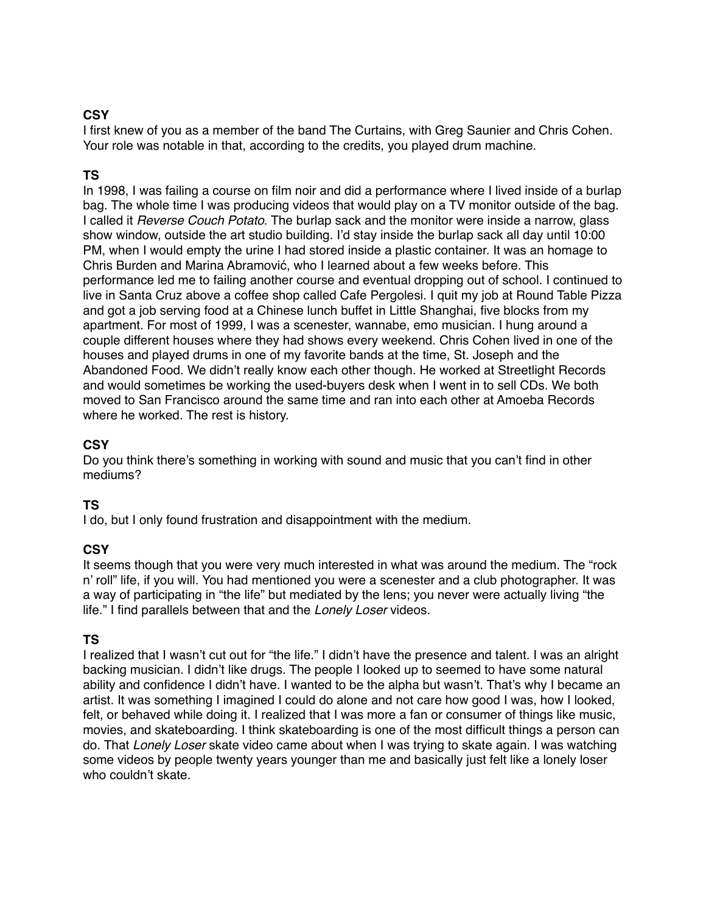I first knew of you as a member of the band The Curtains, with Greg Saunier and Chris Cohen. Your role was notable in that, according to the credits, you played drum machine.

# **TS**

In 1998, I was failing a course on film noir and did a performance where I lived inside of a burlap bag. The whole time I was producing videos that would play on a TV monitor outside of the bag. I called it *Reverse Couch Potato*. The burlap sack and the monitor were inside a narrow, glass show window, outside the art studio building. I'd stay inside the burlap sack all day until 10:00 PM, when I would empty the urine I had stored inside a plastic container. It was an homage to Chris Burden and Marina Abramović, who I learned about a few weeks before. This performance led me to failing another course and eventual dropping out of school. I continued to live in Santa Cruz above a coffee shop called Cafe Pergolesi. I quit my job at Round Table Pizza and got a job serving food at a Chinese lunch buffet in Little Shanghai, five blocks from my apartment. For most of 1999, I was a scenester, wannabe, emo musician. I hung around a couple different houses where they had shows every weekend. Chris Cohen lived in one of the houses and played drums in one of my favorite bands at the time, St. Joseph and the Abandoned Food. We didn't really know each other though. He worked at Streetlight Records and would sometimes be working the used-buyers desk when I went in to sell CDs. We both moved to San Francisco around the same time and ran into each other at Amoeba Records where he worked. The rest is history.

#### **CSY**

Do you think there's something in working with sound and music that you can't find in other mediums?

#### **TS**

I do, but I only found frustration and disappointment with the medium.

#### **CSY**

It seems though that you were very much interested in what was around the medium. The "rock n' roll" life, if you will. You had mentioned you were a scenester and a club photographer. It was a way of participating in "the life" but mediated by the lens; you never were actually living "the life." I find parallels between that and the *Lonely Loser* videos.

#### **TS**

I realized that I wasn't cut out for "the life." I didn't have the presence and talent. I was an alright backing musician. I didn't like drugs. The people I looked up to seemed to have some natural ability and confidence I didn't have. I wanted to be the alpha but wasn't. That's why I became an artist. It was something I imagined I could do alone and not care how good I was, how I looked, felt, or behaved while doing it. I realized that I was more a fan or consumer of things like music, movies, and skateboarding. I think skateboarding is one of the most difficult things a person can do. That *Lonely Loser* skate video came about when I was trying to skate again. I was watching some videos by people twenty years younger than me and basically just felt like a lonely loser who couldn't skate.